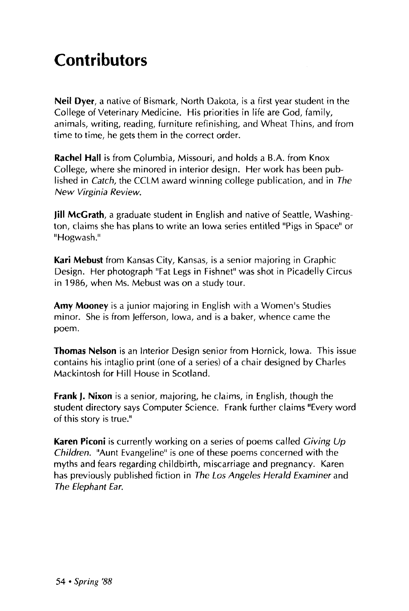## **Contributors**

**Neil Dyer,** a native of Bismark, North Dakota, is a first year student in the College of Veterinary Medicine. His priorities in life are Cod, family, animals, writing, reading, furniture refinishing, and Wheat Thins, and from time to time, he gets them in the correct order.

**Rachel Hall** is from Columbia, Missouri, and holds a B.A. from Knox College, where she minored in interior design. Her work has been published in Catch, the CCLM award winning college publication, and in The New Virginia Review.

**Jill McGrath,** a graduate student in English and native of Seattle, Washington, claims she has plans to write an Iowa series entitled "Pigs in Space" or "Hogwash."

**Kari Mebust** from Kansas City, Kansas, is a senior majoring in Graphic Design. Her photograph "Fat Legs in Fishnet" was shot in Picadelly Circus in 1986, when Ms. Mebust was on a study tour.

**Amy Mooney** is a junior majoring in English with a Women's Studies minor. She is from Jefferson, Iowa, and is a baker, whence came the poem.

**Thomas Nelson** is an Interior Design senior from Hornick, Iowa. This issue contains his intaglio print (one of a series) of a chair designed by Charles Mackintosh for Hill House in Scotland.

**Frank J. Nixon** is a senior, majoring, he claims, in English, though the student directory says Computer Science. Frank further claims "Every word of this story is true."

**Karen Piconi** is currently working on a series of poems called Giving Up Children. "Aunt Evangeline" is one of these poems concerned with the myths and fears regarding childbirth, miscarriage and pregnancy. Karen has previously published fiction in The Los Angeles Herald Examiner and The Elephant Ear.